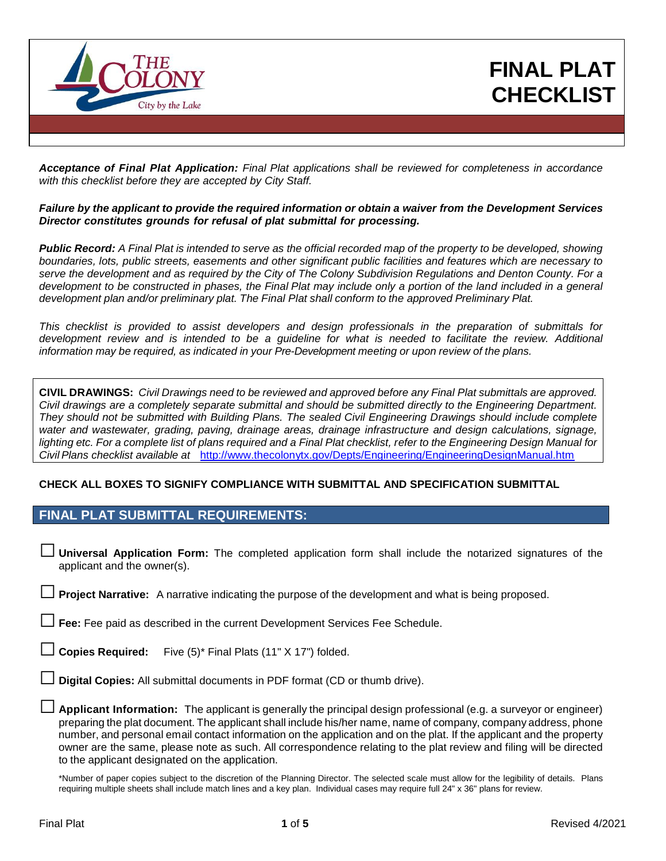

# **FINAL PLAT CHECKLIST**

*Acceptance of Final Plat Application: Final Plat applications shall be reviewed for completeness in accordance with this checklist before they are accepted by City Staff.*

#### *Failure by the applicant to provide the required information or obtain a waiver from the Development Services Director constitutes grounds for refusal of plat submittal for processing.*

**Public Record:** A Final Plat is intended to serve as the official recorded map of the property to be developed, showing boundaries, lots, public streets, easements and other significant public facilities and features which are necessary to serve the development and as required by the City of The Colony Subdivision Regulations and Denton County. For a development to be constructed in phases, the Final Plat may include only a portion of the land included in a general *development plan and/or preliminary plat. The Final Plat shall conform to the approved Preliminary Plat.*

*This checklist is provided to assist developers and design professionals in the preparation of submittals for* development review and is intended to be a guideline for what is needed to facilitate the review. Additional *information may be required, as indicated in your Pre-Development meeting or upon review of the plans.*

**CIVIL DRAWINGS:** *Civil Drawings need to be reviewed and approved before any Final Plat submittals are approved.* Civil drawings are a completely separate submittal and should be submitted directly to the Engineering Department. *They should not be submitted with Building Plans. The sealed Civil Engineering Drawings should include complete water and wastewater, grading, paving, drainage areas, drainage infrastructure and design calculations, signage,* lighting etc. For a complete list of plans required and a Final Plat checklist, refer to the Engineering Design Manual for *Civil Plans checklist available at* <http://www.thecolonytx.gov/Depts/Engineering/EngineeringDesignManual.htm>

#### **CHECK ALL BOXES TO SIGNIFY COMPLIANCE WITH SUBMITTAL AND SPECIFICATION SUBMITTAL**

## **FINAL PLAT SUBMITTAL REQUIREMENTS:**

□ **Universal Application Form:** The completed application form shall include the notarized signatures of the applicant and the owner(s).

**Project Narrative:** A narrative indicating the purpose of the development and what is being proposed.

Fee: Fee paid as described in the current Development Services Fee Schedule.

Copies Required: Five (5)<sup>\*</sup> Final Plats (11" X 17") folded.

**Digital Copies:** All submittal documents in PDF format (CD or thumb drive).

□ **Applicant Information:** The applicant is generally the principal design professional (e.g. <sup>a</sup> surveyor or engineer) preparing the plat document. The applicant shall include his/her name, name of company, company address, phone number, and personal email contact information on the application and on the plat. If the applicant and the property owner are the same, please note as such. All correspondence relating to the plat review and filing will be directed to the applicant designated on the application.

\*Number of paper copies subject to the discretion of the Planning Director. The selected scale must allow for the legibility of details. Plans requiring multiple sheets shall include match lines and a key plan. Individual cases may require full 24" x 36" plans for review.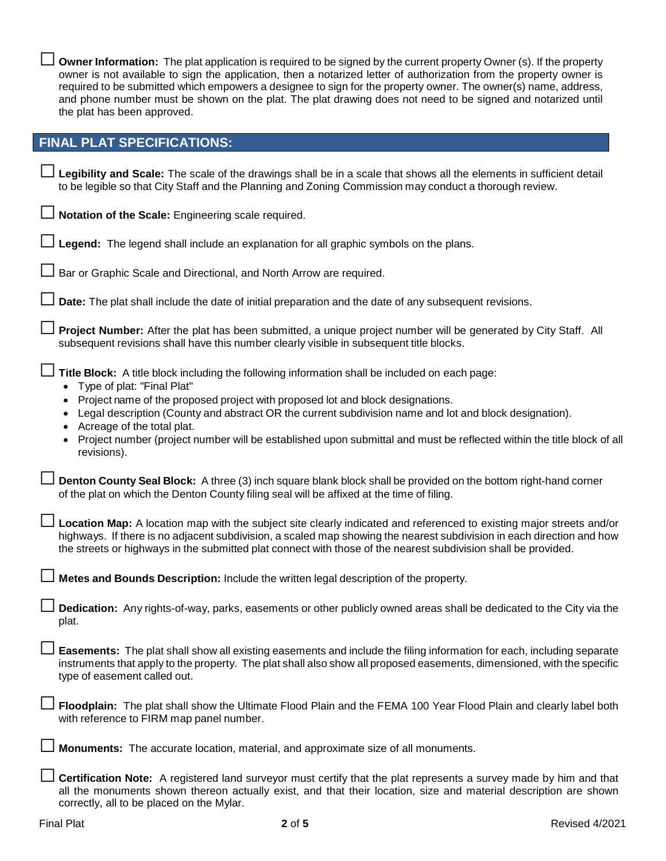| □ Owner Information: The plat application is required to be signed by the current property Owner (s). If the property |
|-----------------------------------------------------------------------------------------------------------------------|
| owner is not available to sign the application, then a notarized letter of authorization from the property owner is   |
| required to be submitted which empowers a designee to sign for the property owner. The owner(s) name, address,        |
| and phone number must be shown on the plat. The plat drawing does not need to be signed and notarized until           |
| the plat has been approved.                                                                                           |

#### **FINAL PLAT SPECIFICATIONS:**

| Legibility and Scale: The scale of the drawings shall be in a scale that shows all the elements in sufficient detail |
|----------------------------------------------------------------------------------------------------------------------|
| to be legible so that City Staff and the Planning and Zoning Commission may conduct a thorough review.               |

□ **Notation of the Scale:** Engineering scale required.

| $\Box$ Legend: The legend shall include an explanation for all graphic symbols on the plans. |
|----------------------------------------------------------------------------------------------|
|                                                                                              |

□ Bar or Graphic Scale and Directional, and North Arrow are required.

**Date:** The plat shall include the date of initial preparation and the date of any subsequent revisions.

Project Number: After the plat has been submitted, a unique project number will be generated by City Staff. All subsequent revisions shall have this number clearly visible in subsequent title blocks.

□ **Title Block:** <sup>A</sup> title block including the following information shall be included on each page:

- Type of plat: "Final Plat"
- Project name of the proposed project with proposed lot and block designations.
- Legal description (County and abstract OR the current subdivision name and lot and block designation).
- Acreage of the total plat.
- Project number (project number will be established upon submittal and must be reflected within the title block of all revisions).

□ **Denton County Seal Block:** <sup>A</sup> three (3) inch square blank block shall be provided on the bottom right-hand corner of the plat on which the Denton County filing seal will be affixed at the time of filing.

Location Map: A location map with the subject site clearly indicated and referenced to existing major streets and/or highways. If there is no adjacent subdivision, a scaled map showing the nearest subdivision in each direction and how the streets or highways in the submitted plat connect with those of the nearest subdivision shall be provided.

□ **Metes and Bounds Description:** Include the written legal description of the property.

□ **Dedication:** Any rights-of-way, parks, easements or other publicly owned areas shall be dedicated to the City via the plat.

Easements: The plat shall show all existing easements and include the filing information for each, including separate instruments that apply to the property. The plat shall also show all proposed easements, dimensioned, with the specific type of easement called out.

□ **Floodplain:** The plat shall show the Ultimate Flood Plain and the FEMA <sup>100</sup> Year Flood Plain and clearly label both with reference to FIRM map panel number.

| Monuments: The accurate location, material, and approximate size of all monuments. |
|------------------------------------------------------------------------------------|
|                                                                                    |

□ **Certification Note:** A registered land surveyor must certify that the plat represents a survey made by him and that all the monuments shown thereon actually exist, and that their location, size and material description are shown correctly, all to be placed on the Mylar.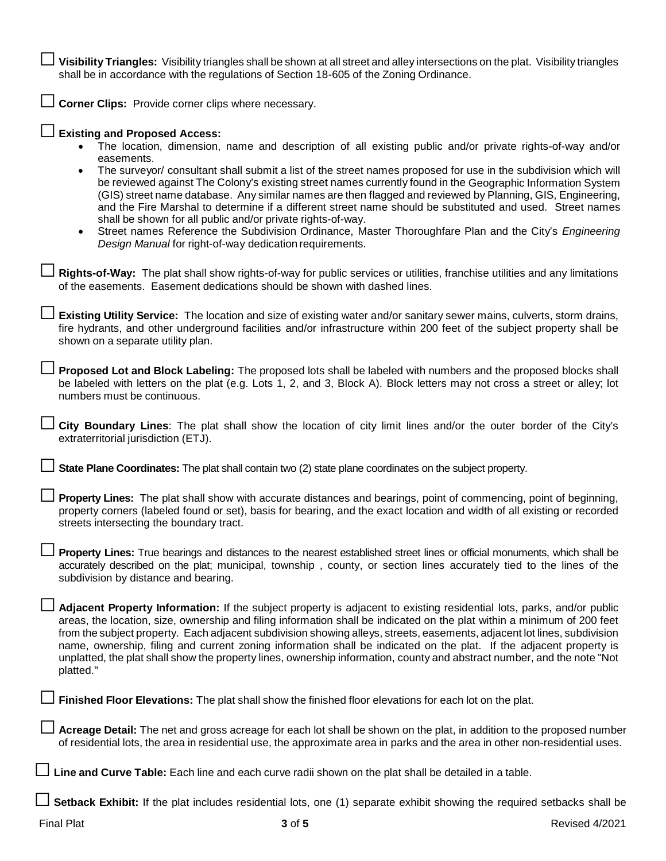Visibility Triangles: Visibility triangles shall be shown at all street and alley intersections on the plat. Visibility triangles<br>shall be in accordance with the regulations of Section 18-605 of the Zoning Ordinance.

□ **Corner Clips:** Provide corner clips where necessary.

| <b>Existing and Proposed Access:</b><br>The location, dimension, name and description of all existing public and/or private rights-of-way and/or                                                                                                                                                                                                                                                                                                                                                                                                                                                                                                                                                                        |
|-------------------------------------------------------------------------------------------------------------------------------------------------------------------------------------------------------------------------------------------------------------------------------------------------------------------------------------------------------------------------------------------------------------------------------------------------------------------------------------------------------------------------------------------------------------------------------------------------------------------------------------------------------------------------------------------------------------------------|
| easements.<br>The surveyor/ consultant shall submit a list of the street names proposed for use in the subdivision which will<br>$\bullet$<br>be reviewed against The Colony's existing street names currently found in the Geographic Information System<br>(GIS) street name database. Any similar names are then flagged and reviewed by Planning, GIS, Engineering,<br>and the Fire Marshal to determine if a different street name should be substituted and used. Street names<br>shall be shown for all public and/or private rights-of-way.<br>Street names Reference the Subdivision Ordinance, Master Thoroughfare Plan and the City's Engineering<br>Design Manual for right-of-way dedication requirements. |
| Rights-of-Way: The plat shall show rights-of-way for public services or utilities, franchise utilities and any limitations<br>of the easements. Easement dedications should be shown with dashed lines.                                                                                                                                                                                                                                                                                                                                                                                                                                                                                                                 |
| Existing Utility Service: The location and size of existing water and/or sanitary sewer mains, culverts, storm drains,<br>fire hydrants, and other underground facilities and/or infrastructure within 200 feet of the subject property shall be<br>shown on a separate utility plan.                                                                                                                                                                                                                                                                                                                                                                                                                                   |
| Proposed Lot and Block Labeling: The proposed lots shall be labeled with numbers and the proposed blocks shall<br>be labeled with letters on the plat (e.g. Lots 1, 2, and 3, Block A). Block letters may not cross a street or alley; lot<br>numbers must be continuous.                                                                                                                                                                                                                                                                                                                                                                                                                                               |
| City Boundary Lines: The plat shall show the location of city limit lines and/or the outer border of the City's<br>extraterritorial jurisdiction (ETJ).                                                                                                                                                                                                                                                                                                                                                                                                                                                                                                                                                                 |
| State Plane Coordinates: The plat shall contain two (2) state plane coordinates on the subject property.                                                                                                                                                                                                                                                                                                                                                                                                                                                                                                                                                                                                                |
| Property Lines: The plat shall show with accurate distances and bearings, point of commencing, point of beginning,<br>property corners (labeled found or set), basis for bearing, and the exact location and width of all existing or recorded<br>streets intersecting the boundary tract.                                                                                                                                                                                                                                                                                                                                                                                                                              |
| Property Lines: True bearings and distances to the nearest established street lines or official monuments, which shall be<br>accurately described on the plat; municipal, township, county, or section lines accurately tied to the lines of the<br>subdivision by distance and bearing.                                                                                                                                                                                                                                                                                                                                                                                                                                |
| Adjacent Property Information: If the subject property is adjacent to existing residential lots, parks, and/or public<br>areas, the location, size, ownership and filing information shall be indicated on the plat within a minimum of 200 feet<br>from the subject property. Each adjacent subdivision showing alleys, streets, easements, adjacent lot lines, subdivision<br>name, ownership, filing and current zoning information shall be indicated on the plat. If the adjacent property is<br>unplatted, the plat shall show the property lines, ownership information, county and abstract number, and the note "Not<br>platted."                                                                              |
| Finished Floor Elevations: The plat shall show the finished floor elevations for each lot on the plat.                                                                                                                                                                                                                                                                                                                                                                                                                                                                                                                                                                                                                  |
| Acreage Detail: The net and gross acreage for each lot shall be shown on the plat, in addition to the proposed number<br>of residential lots, the area in residential use, the approximate area in parks and the area in other non-residential uses.                                                                                                                                                                                                                                                                                                                                                                                                                                                                    |
| Line and Curve Table: Each line and each curve radii shown on the plat shall be detailed in a table.                                                                                                                                                                                                                                                                                                                                                                                                                                                                                                                                                                                                                    |
| Setback Exhibit: If the plat includes residential lots, one (1) separate exhibit showing the required setbacks shall be                                                                                                                                                                                                                                                                                                                                                                                                                                                                                                                                                                                                 |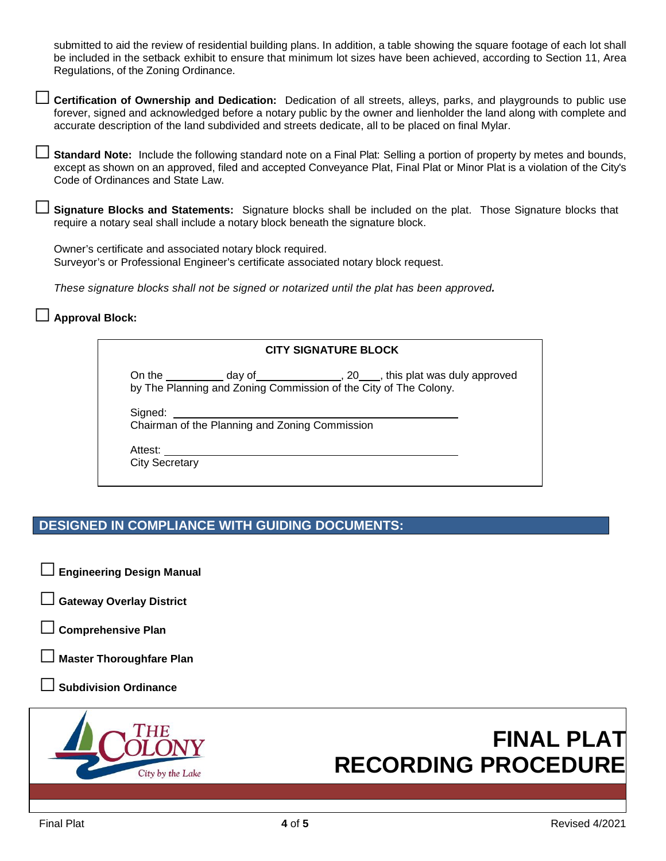submitted to aid the review of residential building plans. In addition, a table showing the square footage of each lot shall be included in the setback exhibit to ensure that minimum lot sizes have been achieved, according to Section 11, Area Regulations, of the Zoning Ordinance.

□ **Certification of Ownership and Dedication:** Dedication of all streets, alleys, parks, and playgrounds to public use forever, signed and acknowledged before a notary public by the owner and lienholder the land along with complete and accurate description of the land subdivided and streets dedicate, all to be placed on final Mylar.

Standard Note: Include the following standard note on a Final Plat: Selling a portion of property by metes and bounds, except as shown on an approved, filed and accepted Conveyance Plat, Final Plat or Minor Plat is a violation of the City's Code of Ordinances and State Law.

□ **Signature Blocks and Statements:** Signature blocks shall be included on the plat. Those Signature blocks that require a notary seal shall include a notary block beneath the signature block.

Owner's certificate and associated notary block required. Surveyor's or Professional Engineer's certificate associated notary block request.

*These signature blocks shall not be signed or notarized until the plat has been approved.*

#### □ **Approval Block:**

| <b>CITY SIGNATURE BLOCK</b> |                                                |                                                                  |  |  |  |
|-----------------------------|------------------------------------------------|------------------------------------------------------------------|--|--|--|
|                             |                                                | by The Planning and Zoning Commission of the City of The Colony. |  |  |  |
| Signed: Signed:             |                                                |                                                                  |  |  |  |
|                             | Chairman of the Planning and Zoning Commission |                                                                  |  |  |  |
|                             | Attest: <u>________________________</u>        |                                                                  |  |  |  |
| <b>City Secretary</b>       |                                                |                                                                  |  |  |  |

# **DESIGNED IN COMPLIANCE WITH GUIDING DOCUMENTS:**

- □ **Engineering Design Manual**
- **Gateway Overlay District**
- □ **Comprehensive Plan**

**Master Thoroughfare Plan** 

**Subdivision Ordinance** 



# **FINAL PLAT RECORDING PROCEDURE**